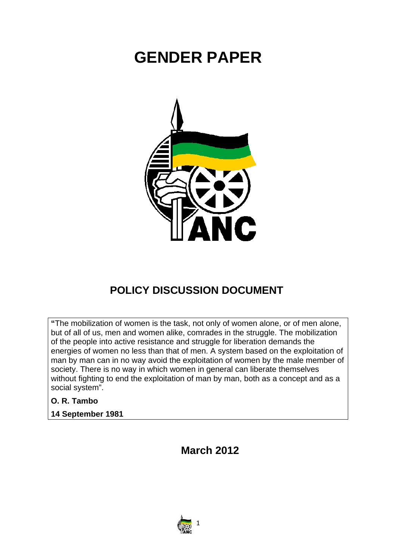# **GENDER PAPER**



# **POLICY DISCUSSION DOCUMENT**

**"**The mobilization of women is the task, not only of women alone, or of men alone, but of all of us, men and women alike, comrades in the struggle. The mobilization of the people into active resistance and struggle for liberation demands the energies of women no less than that of men. A system based on the exploitation of man by man can in no way avoid the exploitation of women by the male member of society. There is no way in which women in general can liberate themselves without fighting to end the exploitation of man by man, both as a concept and as a social system".

#### **O. R. Tambo**

#### **14 September 1981**

**March 2012**

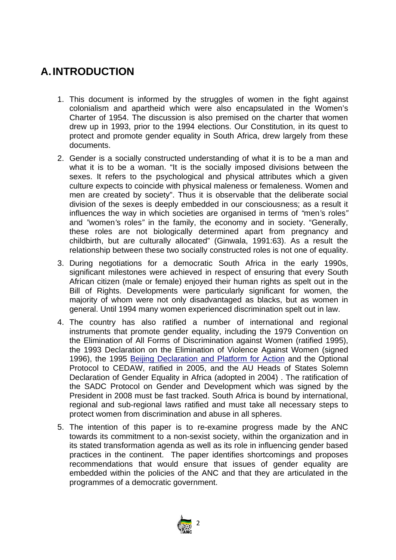# **A.INTRODUCTION**

- 1. This document is informed by the struggles of women in the fight against colonialism and apartheid which were also encapsulated in the Women's Charter of 1954. The discussion is also premised on the charter that women drew up in 1993, prior to the 1994 elections. Our Constitution, in its quest to protect and promote gender equality in South Africa, drew largely from these documents.
- 2. Gender is a socially constructed understanding of what it is to be a man and what it is to be a woman. "It is the socially imposed divisions between the sexes. It refers to the psychological and physical attributes which a given culture expects to coincide with physical maleness or femaleness. Women and men are created by society". Thus it is observable that the deliberate social division of the sexes is deeply embedded in our consciousness; as a result it influences the way in which societies are organised in terms of *"*men*'*s roles*"* and *"*women*'*s roles*"* in the family, the economy and in society. "Generally, these roles are not biologically determined apart from pregnancy and childbirth, but are culturally allocated" (Ginwala, 1991:63). As a result the relationship between these two socially constructed roles is not one of equality.
- 3. During negotiations for a democratic South Africa in the early 1990s, significant milestones were achieved in respect of ensuring that every South African citizen (male or female) enjoyed their human rights as spelt out in the Bill of Rights. Developments were particularly significant for women, the majority of whom were not only disadvantaged as blacks, but as women in general. Until 1994 many women experienced discrimination spelt out in law.
- 4. The country has also ratified a number of international and regional instruments that promote gender equality, including the 1979 Convention on the Elimination of All Forms of Discrimination against Women (ratified 1995), the 1993 Declaration on the Elimination of Violence Against Women (signed 1996), the 1995 Beijing Declaration and Platform for Action and the Optional Protocol to CEDAW, ratified in 2005, and the AU Heads of States Solemn Declaration of Gender Equality in Africa (adopted in 2004) . The ratification of the SADC Protocol on Gender and Development which was signed by the President in 2008 must be fast tracked. South Africa is bound by international, regional and sub-regional laws ratified and must take all necessary steps to protect women from discrimination and abuse in all spheres.
- 5. The intention of this paper is to re-examine progress made by the ANC towards its commitment to a non-sexist society, within the organization and in its stated transformation agenda as well as its role in influencing gender based practices in the continent. The paper identifies shortcomings and proposes recommendations that would ensure that issues of gender equality are embedded within the policies of the ANC and that they are articulated in the programmes of a democratic government.

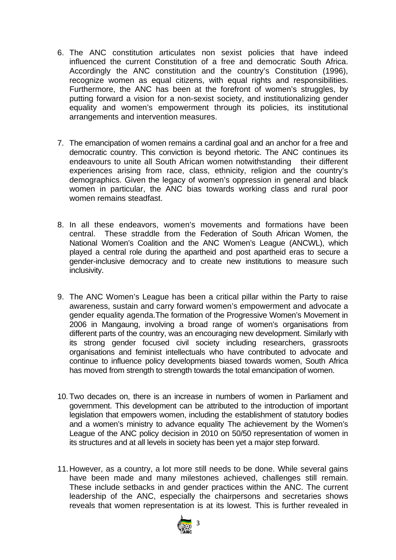- 6. The ANC constitution articulates non sexist policies that have indeed influenced the current Constitution of a free and democratic South Africa. Accordingly the ANC constitution and the country's Constitution (1996), recognize women as equal citizens, with equal rights and responsibilities. Furthermore, the ANC has been at the forefront of women's struggles, by putting forward a vision for a non-sexist society, and institutionalizing gender equality and women's empowerment through its policies, its institutional arrangements and intervention measures.
- 7. The emancipation of women remains a cardinal goal and an anchor for a free and democratic country. This conviction is beyond rhetoric. The ANC continues its endeavours to unite all South African women notwithstanding their different experiences arising from race, class, ethnicity, religion and the country's demographics. Given the legacy of women's oppression in general and black women in particular, the ANC bias towards working class and rural poor women remains steadfast.
- 8. In all these endeavors, women's movements and formations have been central. These straddle from the Federation of South African Women, the National Women's Coalition and the ANC Women's League (ANCWL), which played a central role during the apartheid and post apartheid eras to secure a gender-inclusive democracy and to create new institutions to measure such inclusivity.
- 9. The ANC Women's League has been a critical pillar within the Party to raise awareness, sustain and carry forward women's empowerment and advocate a gender equality agenda.The formation of the Progressive Women's Movement in 2006 in Mangaung, involving a broad range of women's organisations from different parts of the country, was an encouraging new development. Similarly with its strong gender focused civil society including researchers, grassroots organisations and feminist intellectuals who have contributed to advocate and continue to influence policy developments biased towards women, South Africa has moved from strength to strength towards the total emancipation of women.
- 10. Two decades on, there is an increase in numbers of women in Parliament and government. This development can be attributed to the introduction of important legislation that empowers women, including the establishment of statutory bodies and a women's ministry to advance equality The achievement by the Women's League of the ANC policy decision in 2010 on 50/50 representation of women in its structures and at all levels in society has been yet a major step forward.
- 11.However, as a country, a lot more still needs to be done. While several gains have been made and many milestones achieved, challenges still remain. These include setbacks in and gender practices within the ANC. The current leadership of the ANC, especially the chairpersons and secretaries shows reveals that women representation is at its lowest. This is further revealed in

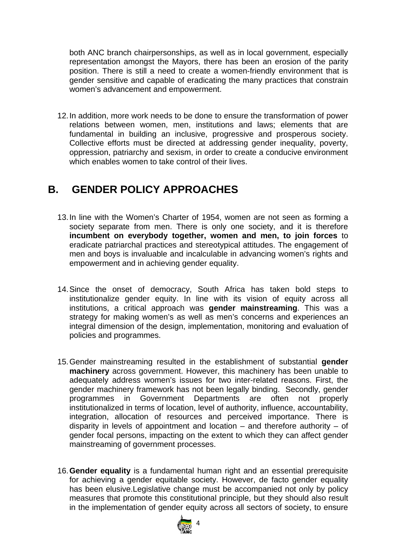both ANC branch chairpersonships, as well as in local government, especially representation amongst the Mayors, there has been an erosion of the parity position. There is still a need to create a women-friendly environment that is gender sensitive and capable of eradicating the many practices that constrain women's advancement and empowerment.

12.In addition, more work needs to be done to ensure the transformation of power relations between women, men, institutions and laws; elements that are fundamental in building an inclusive, progressive and prosperous society. Collective efforts must be directed at addressing gender inequality, poverty, oppression, patriarchy and sexism, in order to create a conducive environment which enables women to take control of their lives.

# **B. GENDER POLICY APPROACHES**

- 13.In line with the Women's Charter of 1954, women are not seen as forming a society separate from men. There is only one society, and it is therefore **incumbent on everybody together, women and men, to join forces** to eradicate patriarchal practices and stereotypical attitudes. The engagement of men and boys is invaluable and incalculable in advancing women's rights and empowerment and in achieving gender equality.
- 14.Since the onset of democracy, South Africa has taken bold steps to institutionalize gender equity. In line with its vision of equity across all institutions, a critical approach was **gender mainstreaming**. This was a strategy for making women's as well as men's concerns and experiences an integral dimension of the design, implementation, monitoring and evaluation of policies and programmes.
- 15.Gender mainstreaming resulted in the establishment of substantial **gender machinery** across government. However, this machinery has been unable to adequately address women's issues for two inter-related reasons. First, the gender machinery framework has not been legally binding. Secondly, gender programmes in Government Departments are often not properly institutionalized in terms of location, level of authority, influence, accountability, integration, allocation of resources and perceived importance. There is disparity in levels of appointment and location – and therefore authority – of gender focal persons, impacting on the extent to which they can affect gender mainstreaming of government processes.
- 16.**Gender equality** is a fundamental human right and an essential prerequisite for achieving a gender equitable society. However, de facto gender equality has been elusive.Legislative change must be accompanied not only by policy measures that promote this constitutional principle, but they should also result in the implementation of gender equity across all sectors of society, to ensure

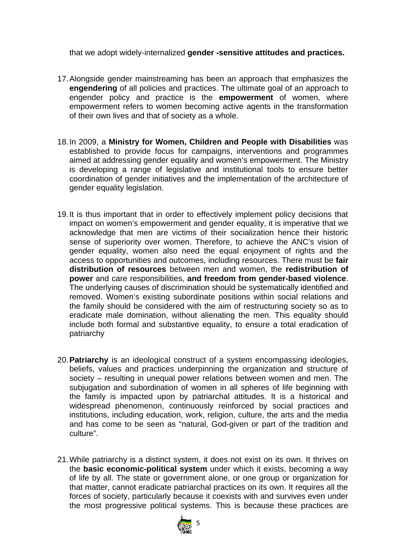that we adopt widely-internalized **gender -sensitive attitudes and practices.** 

- 17.Alongside gender mainstreaming has been an approach that emphasizes the **engendering** of all policies and practices. The ultimate goal of an approach to engender policy and practice is the **empowerment** of women, where empowerment refers to women becoming active agents in the transformation of their own lives and that of society as a whole.
- 18.In 2009, a **Ministry for Women, Children and People with Disabilities** was established to provide focus for campaigns, interventions and programmes aimed at addressing gender equality and women's empowerment. The Ministry is developing a range of legislative and institutional tools to ensure better coordination of gender initiatives and the implementation of the architecture of gender equality legislation.
- 19.It is thus important that in order to effectively implement policy decisions that impact on women's empowerment and gender equality, it is imperative that we acknowledge that men are victims of their socialization hence their historic sense of superiority over women. Therefore, to achieve the ANC's vision of gender equality, women also need the equal enjoyment of rights and the access to opportunities and outcomes, including resources. There must be **fair distribution of resources** between men and women, the **redistribution of power** and care responsibilities, **and freedom from gender-based violence**. The underlying causes of discrimination should be systematically identified and removed. Women's existing subordinate positions within social relations and the family should be considered with the aim of restructuring society so as to eradicate male domination, without alienating the men. This equality should include both formal and substantive equality, to ensure a total eradication of patriarchy
- 20.**Patriarchy** is an ideological construct of a system encompassing ideologies, beliefs, values and practices underpinning the organization and structure of society – resulting in unequal power relations between women and men. The subjugation and subordination of women in all spheres of life beginning with the family is impacted upon by patriarchal attitudes. It is a historical and widespread phenomenon, continuously reinforced by social practices and institutions, including education, work, religion, culture, the arts and the media and has come to be seen as "natural, God-given or part of the tradition and culture".
- 21.While patriarchy is a distinct system, it does not exist on its own. It thrives on the **basic economic-political system** under which it exists, becoming a way of life by all. The state or government alone, or one group or organization for that matter, cannot eradicate patriarchal practices on its own. It requires all the forces of society, particularly because it coexists with and survives even under the most progressive political systems. This is because these practices are

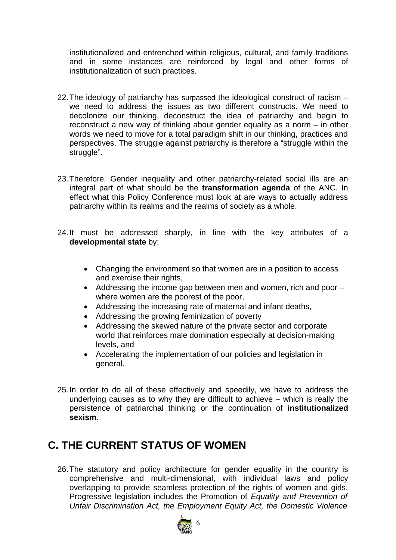institutionalized and entrenched within religious, cultural, and family traditions and in some instances are reinforced by legal and other forms of institutionalization of such practices.

- 22.The ideology of patriarchy has surpassed the ideological construct of racism we need to address the issues as two different constructs. We need to decolonize our thinking, deconstruct the idea of patriarchy and begin to reconstruct a new way of thinking about gender equality as a norm – in other words we need to move for a total paradigm shift in our thinking, practices and perspectives. The struggle against patriarchy is therefore a "struggle within the struggle".
- 23.Therefore, Gender inequality and other patriarchy-related social ills are an integral part of what should be the **transformation agenda** of the ANC. In effect what this Policy Conference must look at are ways to actually address patriarchy within its realms and the realms of society as a whole.
- 24.It must be addressed sharply, in line with the key attributes of a **developmental state** by:
	- Changing the environment so that women are in a position to access and exercise their rights,
	- Addressing the income gap between men and women, rich and poor where women are the poorest of the poor,
	- Addressing the increasing rate of maternal and infant deaths,
	- Addressing the growing feminization of poverty
	- Addressing the skewed nature of the private sector and corporate world that reinforces male domination especially at decision-making levels, and
	- Accelerating the implementation of our policies and legislation in general.
- 25.In order to do all of these effectively and speedily, we have to address the underlying causes as to why they are difficult to achieve – which is really the persistence of patriarchal thinking or the continuation of **institutionalized sexism**.

### **C. THE CURRENT STATUS OF WOMEN**

26.The statutory and policy architecture for gender equality in the country is comprehensive and multi-dimensional, with individual laws and policy overlapping to provide seamless protection of the rights of women and girls. Progressive legislation includes the Promotion of *Equality and Prevention of Unfair Discrimination Act, the Employment Equity Act, the Domestic Violence*

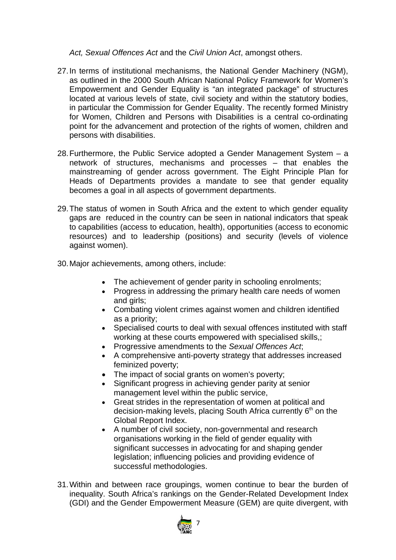*Act, Sexual Offences Act* and the *Civil Union Act*, amongst others.

- 27.In terms of institutional mechanisms, the National Gender Machinery (NGM), as outlined in the 2000 South African National Policy Framework for Women's Empowerment and Gender Equality is "an integrated package" of structures located at various levels of state, civil society and within the statutory bodies, in particular the Commission for Gender Equality. The recently formed Ministry for Women, Children and Persons with Disabilities is a central co-ordinating point for the advancement and protection of the rights of women, children and persons with disabilities.
- 28.Furthermore, the Public Service adopted a Gender Management System a network of structures, mechanisms and processes – that enables the mainstreaming of gender across government. The Eight Principle Plan for Heads of Departments provides a mandate to see that gender equality becomes a goal in all aspects of government departments.
- 29.The status of women in South Africa and the extent to which gender equality gaps are reduced in the country can be seen in national indicators that speak to capabilities (access to education, health), opportunities (access to economic resources) and to leadership (positions) and security (levels of violence against women).
- 30.Major achievements, among others, include:
	- The achievement of gender parity in schooling enrolments;
	- Progress in addressing the primary health care needs of women and girls;
	- Combating violent crimes against women and children identified as a priority;
	- Specialised courts to deal with sexual offences instituted with staff working at these courts empowered with specialised skills,;
	- Progressive amendments to the *Sexual Offences Act*;
	- A comprehensive anti-poverty strategy that addresses increased feminized poverty;
	- The impact of social grants on women's poverty;
	- Significant progress in achieving gender parity at senior management level within the public service,
	- Great strides in the representation of women at political and decision-making levels, placing South Africa currently  $6<sup>th</sup>$  on the Global Report Index.
	- A number of civil society, non-governmental and research organisations working in the field of gender equality with significant successes in advocating for and shaping gender legislation; influencing policies and providing evidence of successful methodologies.
- 31.Within and between race groupings, women continue to bear the burden of inequality. South Africa's rankings on the Gender-Related Development Index (GDI) and the Gender Empowerment Measure (GEM) are quite divergent, with

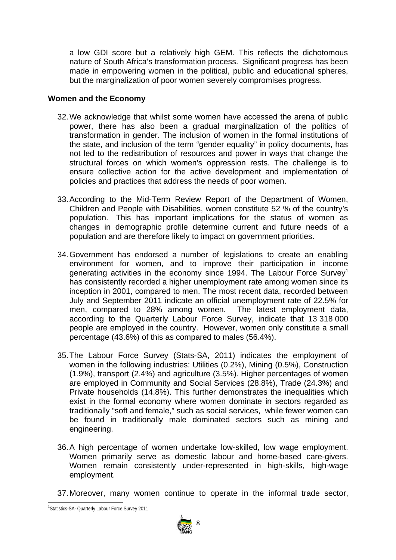a low GDI score but a relatively high GEM. This reflects the dichotomous nature of South Africa's transformation process. Significant progress has been made in empowering women in the political, public and educational spheres, but the marginalization of poor women severely compromises progress.

#### **Women and the Economy**

- 32.We acknowledge that whilst some women have accessed the arena of public power, there has also been a gradual marginalization of the politics of transformation in gender. The inclusion of women in the formal institutions of the state, and inclusion of the term "gender equality" in policy documents, has not led to the redistribution of resources and power in ways that change the structural forces on which women's oppression rests. The challenge is to ensure collective action for the active development and implementation of policies and practices that address the needs of poor women.
- 33.According to the Mid-Term Review Report of the Department of Women, Children and People with Disabilities, women constitute 52 % of the country's population. This has important implications for the status of women as changes in demographic profile determine current and future needs of a population and are therefore likely to impact on government priorities.
- 34.Government has endorsed a number of legislations to create an enabling environment for women, and to improve their participation in income generating activities in the economy since 1994. The Labour Force Survey<sup>1</sup> has consistently recorded a higher unemployment rate among women since its inception in 2001, compared to men. The most recent data, recorded between July and September 2011 indicate an official unemployment rate of 22.5% for men, compared to 28% among women. The latest employment data, according to the Quarterly Labour Force Survey, indicate that 13 318 000 people are employed in the country. However, women only constitute a small percentage (43.6%) of this as compared to males (56.4%).
- 35.The Labour Force Survey (Stats-SA, 2011) indicates the employment of women in the following industries: Utilities (0.2%), Mining (0.5%), Construction (1.9%), transport (2.4%) and agriculture (3.5%). Higher percentages of women are employed in Community and Social Services (28.8%), Trade (24.3%) and Private households (14.8%). This further demonstrates the inequalities which exist in the formal economy where women dominate in sectors regarded as traditionally "soft and female," such as social services, while fewer women can be found in traditionally male dominated sectors such as mining and engineering.
- 36.A high percentage of women undertake low-skilled, low wage employment. Women primarily serve as domestic labour and home-based care-givers. Women remain consistently under-represented in high-skills, high-wage employment.

37.Moreover, many women continue to operate in the informal trade sector,

<sup>&</sup>lt;sup>1</sup>Statistics-SA- Quarterly Labour Force Survey 2011

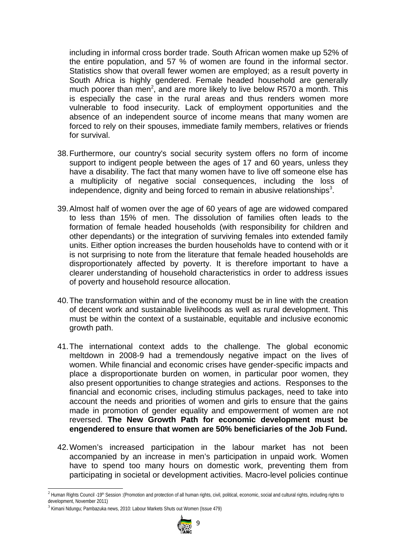including in informal cross border trade. South African women make up 52% of the entire population, and 57 % of women are found in the informal sector. Statistics show that overall fewer women are employed; as a result poverty in South Africa is highly gendered. Female headed household are generally much poorer than men<sup>2</sup>, and are more likely to live below R570 a month. This is especially the case in the rural areas and thus renders women more vulnerable to food insecurity. Lack of employment opportunities and the absence of an independent source of income means that many women are forced to rely on their spouses, immediate family members, relatives or friends for survival.

- 38.Furthermore, our country's social security system offers no form of income support to indigent people between the ages of 17 and 60 years, unless they have a disability. The fact that many women have to live off someone else has a multiplicity of negative social consequences, including the loss of independence, dignity and being forced to remain in abusive relationships<sup>3</sup>.
- 39.Almost half of women over the age of 60 years of age are widowed compared to less than 15% of men. The dissolution of families often leads to the formation of female headed households (with responsibility for children and other dependants) or the integration of surviving females into extended family units. Either option increases the burden households have to contend with or it is not surprising to note from the literature that female headed households are disproportionately affected by poverty. It is therefore important to have a clearer understanding of household characteristics in order to address issues of poverty and household resource allocation.
- 40.The transformation within and of the economy must be in line with the creation of decent work and sustainable livelihoods as well as rural development. This must be within the context of a sustainable, equitable and inclusive economic growth path.
- 41.The international context adds to the challenge. The global economic meltdown in 2008-9 had a tremendously negative impact on the lives of women. While financial and economic crises have gender-specific impacts and place a disproportionate burden on women, in particular poor women, they also present opportunities to change strategies and actions. Responses to the financial and economic crises, including stimulus packages, need to take into account the needs and priorities of women and girls to ensure that the gains made in promotion of gender equality and empowerment of women are not reversed. **The New Growth Path for economic development must be engendered to ensure that women are 50% beneficiaries of the Job Fund.**
- 42.Women's increased participation in the labour market has not been accompanied by an increase in men's participation in unpaid work. Women have to spend too many hours on domestic work, preventing them from participating in societal or development activities. Macro-level policies continue

<sup>&</sup>lt;sup>3</sup> Kimani Ndungu; Pambazuka news, 2010: Labour Markets Shuts out Women (Issue 479)



<sup>&</sup>lt;sup>2</sup> Human Rights Council -19<sup>th</sup> Session :(Promotion and protection of all human rights, civil, political, economic, social and cultural rights, including rights to development, November 2011)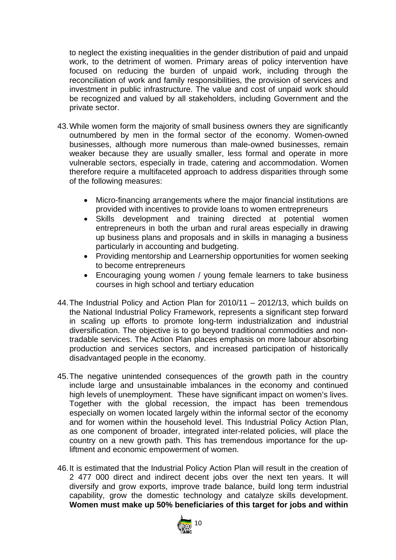to neglect the existing inequalities in the gender distribution of paid and unpaid work, to the detriment of women. Primary areas of policy intervention have focused on reducing the burden of unpaid work, including through the reconciliation of work and family responsibilities, the provision of services and investment in public infrastructure. The value and cost of unpaid work should be recognized and valued by all stakeholders, including Government and the private sector.

- 43.While women form the majority of small business owners they are significantly outnumbered by men in the formal sector of the economy. Women-owned businesses, although more numerous than male-owned businesses, remain weaker because they are usually smaller, less formal and operate in more vulnerable sectors, especially in trade, catering and accommodation. Women therefore require a multifaceted approach to address disparities through some of the following measures:
	- Micro-financing arrangements where the major financial institutions are provided with incentives to provide loans to women entrepreneurs
	- Skills development and training directed at potential women entrepreneurs in both the urban and rural areas especially in drawing up business plans and proposals and in skills in managing a business particularly in accounting and budgeting.
	- Providing mentorship and Learnership opportunities for women seeking to become entrepreneurs
	- Encouraging young women / young female learners to take business courses in high school and tertiary education
- 44.The Industrial Policy and Action Plan for 2010/11 2012/13, which builds on the National Industrial Policy Framework, represents a significant step forward in scaling up efforts to promote long-term industrialization and industrial diversification. The objective is to go beyond traditional commodities and nontradable services. The Action Plan places emphasis on more labour absorbing production and services sectors, and increased participation of historically disadvantaged people in the economy.
- 45.The negative unintended consequences of the growth path in the country include large and unsustainable imbalances in the economy and continued high levels of unemployment. These have significant impact on women's lives. Together with the global recession, the impact has been tremendous especially on women located largely within the informal sector of the economy and for women within the household level. This Industrial Policy Action Plan, as one component of broader, integrated inter-related policies, will place the country on a new growth path. This has tremendous importance for the upliftment and economic empowerment of women.
- 46.It is estimated that the Industrial Policy Action Plan will result in the creation of 2 477 000 direct and indirect decent jobs over the next ten years. It will diversify and grow exports, improve trade balance, build long term industrial capability, grow the domestic technology and catalyze skills development. **Women must make up 50% beneficiaries of this target for jobs and within**

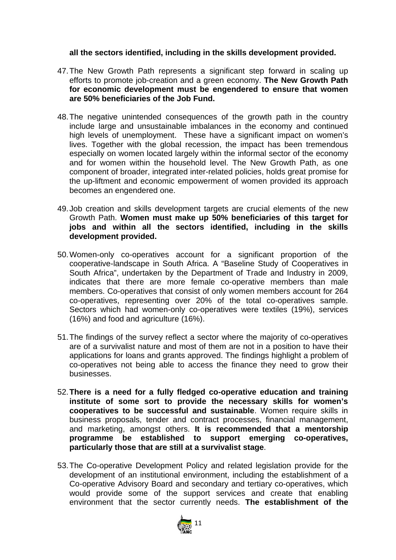#### **all the sectors identified, including in the skills development provided.**

- 47.The New Growth Path represents a significant step forward in scaling up efforts to promote job-creation and a green economy. **The New Growth Path for economic development must be engendered to ensure that women are 50% beneficiaries of the Job Fund.**
- 48.The negative unintended consequences of the growth path in the country include large and unsustainable imbalances in the economy and continued high levels of unemployment. These have a significant impact on women's lives. Together with the global recession, the impact has been tremendous especially on women located largely within the informal sector of the economy and for women within the household level. The New Growth Path, as one component of broader, integrated inter-related policies, holds great promise for the up-liftment and economic empowerment of women provided its approach becomes an engendered one.
- 49.Job creation and skills development targets are crucial elements of the new Growth Path. **Women must make up 50% beneficiaries of this target for jobs and within all the sectors identified, including in the skills development provided.**
- 50.Women-only co-operatives account for a significant proportion of the cooperative-landscape in South Africa. A "Baseline Study of Cooperatives in South Africa", undertaken by the Department of Trade and Industry in 2009, indicates that there are more female co-operative members than male members. Co-operatives that consist of only women members account for 264 co-operatives, representing over 20% of the total co-operatives sample. Sectors which had women-only co-operatives were textiles (19%), services (16%) and food and agriculture (16%).
- 51.The findings of the survey reflect a sector where the majority of co-operatives are of a survivalist nature and most of them are not in a position to have their applications for loans and grants approved. The findings highlight a problem of co-operatives not being able to access the finance they need to grow their businesses.
- 52.**There is a need for a fully fledged co-operative education and training institute of some sort to provide the necessary skills for women's cooperatives to be successful and sustainable**. Women require skills in business proposals, tender and contract processes, financial management, and marketing, amongst others. **It is recommended that a mentorship programme be established to support emerging co-operatives, particularly those that are still at a survivalist stage**.
- 53.The Co-operative Development Policy and related legislation provide for the development of an institutional environment, including the establishment of a Co-operative Advisory Board and secondary and tertiary co-operatives, which would provide some of the support services and create that enabling environment that the sector currently needs. **The establishment of the**

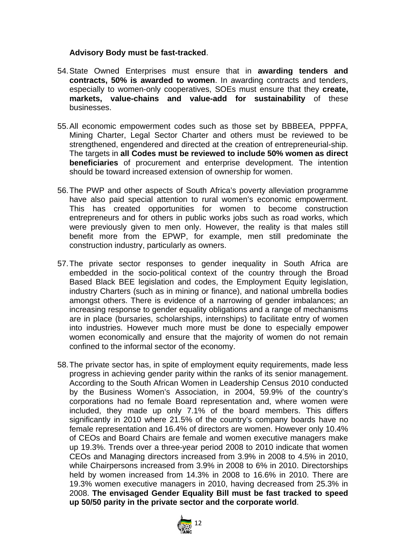#### **Advisory Body must be fast-tracked**.

- 54.State Owned Enterprises must ensure that in **awarding tenders and contracts, 50% is awarded to women**. In awarding contracts and tenders, especially to women-only cooperatives, SOEs must ensure that they **create, markets, value-chains and value-add for sustainability** of these businesses.
- 55.All economic empowerment codes such as those set by BBBEEA, PPPFA, Mining Charter, Legal Sector Charter and others must be reviewed to be strengthened, engendered and directed at the creation of entrepreneurial-ship. The targets in **all Codes must be reviewed to include 50% women as direct beneficiaries** of procurement and enterprise development. The intention should be toward increased extension of ownership for women.
- 56.The PWP and other aspects of South Africa's poverty alleviation programme have also paid special attention to rural women's economic empowerment. This has created opportunities for women to become construction entrepreneurs and for others in public works jobs such as road works, which were previously given to men only. However, the reality is that males still benefit more from the EPWP, for example, men still predominate the construction industry, particularly as owners.
- 57.The private sector responses to gender inequality in South Africa are embedded in the socio-political context of the country through the Broad Based Black BEE legislation and codes, the Employment Equity legislation, industry Charters (such as in mining or finance), and national umbrella bodies amongst others. There is evidence of a narrowing of gender imbalances; an increasing response to gender equality obligations and a range of mechanisms are in place (bursaries, scholarships, internships) to facilitate entry of women into industries. However much more must be done to especially empower women economically and ensure that the majority of women do not remain confined to the informal sector of the economy.
- 58.The private sector has, in spite of employment equity requirements, made less progress in achieving gender parity within the ranks of its senior management. According to the South African Women in Leadership Census 2010 conducted by the Business Women's Association, in 2004, 59.9% of the country's corporations had no female Board representation and, where women were included, they made up only 7.1% of the board members. This differs significantly in 2010 where 21.5% of the country's company boards have no female representation and 16.4% of directors are women. However only 10.4% of CEOs and Board Chairs are female and women executive managers make up 19.3%. Trends over a three-year period 2008 to 2010 indicate that women CEOs and Managing directors increased from 3.9% in 2008 to 4.5% in 2010, while Chairpersons increased from 3.9% in 2008 to 6% in 2010. Directorships held by women increased from 14.3% in 2008 to 16.6% in 2010. There are 19.3% women executive managers in 2010, having decreased from 25.3% in 2008. **The envisaged Gender Equality Bill must be fast tracked to speed up 50/50 parity in the private sector and the corporate world**.

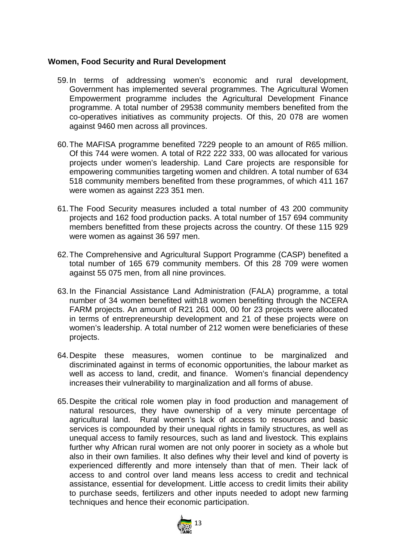#### **Women, Food Security and Rural Development**

- 59.In terms of addressing women's economic and rural development, Government has implemented several programmes. The Agricultural Women Empowerment programme includes the Agricultural Development Finance programme. A total number of 29538 community members benefited from the co-operatives initiatives as community projects. Of this, 20 078 are women against 9460 men across all provinces.
- 60.The MAFISA programme benefited 7229 people to an amount of R65 million. Of this 744 were women. A total of R22 222 333, 00 was allocated for various projects under women's leadership. Land Care projects are responsible for empowering communities targeting women and children. A total number of 634 518 community members benefited from these programmes, of which 411 167 were women as against 223 351 men.
- 61.The Food Security measures included a total number of 43 200 community projects and 162 food production packs. A total number of 157 694 community members benefitted from these projects across the country. Of these 115 929 were women as against 36 597 men.
- 62.The Comprehensive and Agricultural Support Programme (CASP) benefited a total number of 165 679 community members. Of this 28 709 were women against 55 075 men, from all nine provinces.
- 63.In the Financial Assistance Land Administration (FALA) programme, a total number of 34 women benefited with18 women benefiting through the NCERA FARM projects. An amount of R21 261 000, 00 for 23 projects were allocated in terms of entrepreneurship development and 21 of these projects were on women's leadership. A total number of 212 women were beneficiaries of these projects.
- 64.Despite these measures, women continue to be marginalized and discriminated against in terms of economic opportunities, the labour market as well as access to land, credit, and finance. Women's financial dependency increases their vulnerability to marginalization and all forms of abuse.
- 65.Despite the critical role women play in food production and management of natural resources, they have ownership of a very minute percentage of agricultural land. Rural women's lack of access to resources and basic services is compounded by their unequal rights in family structures, as well as unequal access to family resources, such as land and livestock. This explains further why African rural women are not only poorer in society as a whole but also in their own families. It also defines why their level and kind of poverty is experienced differently and more intensely than that of men. Their lack of access to and control over land means less access to credit and technical assistance, essential for development. Little access to credit limits their ability to purchase seeds, fertilizers and other inputs needed to adopt new farming techniques and hence their economic participation.

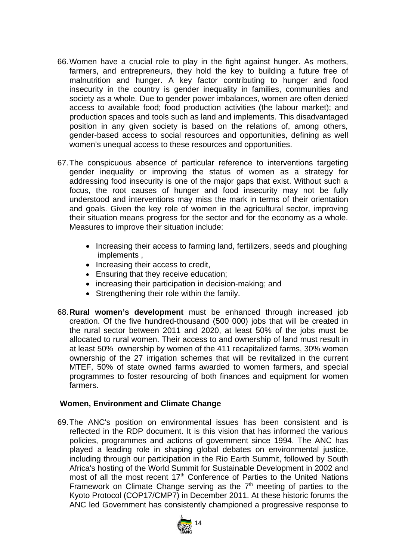- 66.Women have a crucial role to play in the fight against hunger. As mothers, farmers, and entrepreneurs, they hold the key to building a future free of malnutrition and hunger. A key factor contributing to hunger and food insecurity in the country is gender inequality in families, communities and society as a whole. Due to gender power imbalances, women are often denied access to available food; food production activities (the labour market); and production spaces and tools such as land and implements. This disadvantaged position in any given society is based on the relations of, among others, gender-based access to social resources and opportunities, defining as well women's unequal access to these resources and opportunities.
- 67.The conspicuous absence of particular reference to interventions targeting gender inequality or improving the status of women as a strategy for addressing food insecurity is one of the major gaps that exist. Without such a focus, the root causes of hunger and food insecurity may not be fully understood and interventions may miss the mark in terms of their orientation and goals. Given the key role of women in the agricultural sector, improving their situation means progress for the sector and for the economy as a whole. Measures to improve their situation include:
	- Increasing their access to farming land, fertilizers, seeds and ploughing implements ,
	- Increasing their access to credit,
	- Ensuring that they receive education;
	- increasing their participation in decision-making; and
	- Strengthening their role within the family.
- 68.**Rural women's development** must be enhanced through increased job creation. Of the five hundred-thousand (500 000) jobs that will be created in the rural sector between 2011 and 2020, at least 50% of the jobs must be allocated to rural women. Their access to and ownership of land must result in at least 50% ownership by women of the 411 recapitalized farms, 30% women ownership of the 27 irrigation schemes that will be revitalized in the current MTEF, 50% of state owned farms awarded to women farmers, and special programmes to foster resourcing of both finances and equipment for women farmers.

#### **Women, Environment and Climate Change**

69.The ANC's position on environmental issues has been consistent and is reflected in the RDP document. It is this vision that has informed the various policies, programmes and actions of government since 1994. The ANC has played a leading role in shaping global debates on environmental justice, including through our participation in the Rio Earth Summit, followed by South Africa's hosting of the World Summit for Sustainable Development in 2002 and most of all the most recent  $17<sup>th</sup>$  Conference of Parties to the United Nations Framework on Climate Change serving as the  $7<sup>th</sup>$  meeting of parties to the Kyoto Protocol (COP17/CMP7) in December 2011. At these historic forums the ANC led Government has consistently championed a progressive response to

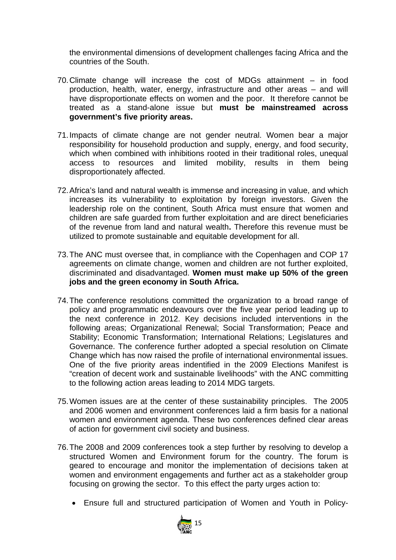the environmental dimensions of development challenges facing Africa and the countries of the South.

- 70.Climate change will increase the cost of MDGs attainment in food production, health, water, energy, infrastructure and other areas – and will have disproportionate effects on women and the poor. It therefore cannot be treated as a stand-alone issue but **must be mainstreamed across government's five priority areas.**
- 71.Impacts of climate change are not gender neutral. Women bear a major responsibility for household production and supply, energy, and food security, which when combined with inhibitions rooted in their traditional roles, unequal access to resources and limited mobility, results in them being disproportionately affected.
- 72.Africa's land and natural wealth is immense and increasing in value, and which increases its vulnerability to exploitation by foreign investors. Given the leadership role on the continent, South Africa must ensure that women and children are safe guarded from further exploitation and are direct beneficiaries of the revenue from land and natural wealth**.** Therefore this revenue must be utilized to promote sustainable and equitable development for all.
- 73.The ANC must oversee that, in compliance with the Copenhagen and COP 17 agreements on climate change, women and children are not further exploited, discriminated and disadvantaged. **Women must make up 50% of the green jobs and the green economy in South Africa.**
- 74.The conference resolutions committed the organization to a broad range of policy and programmatic endeavours over the five year period leading up to the next conference in 2012. Key decisions included interventions in the following areas; Organizational Renewal; Social Transformation; Peace and Stability; Economic Transformation; International Relations; Legislatures and Governance. The conference further adopted a special resolution on Climate Change which has now raised the profile of international environmental issues. One of the five priority areas indentified in the 2009 Elections Manifest is "creation of decent work and sustainable livelihoods" with the ANC committing to the following action areas leading to 2014 MDG targets.
- 75.Women issues are at the center of these sustainability principles. The 2005 and 2006 women and environment conferences laid a firm basis for a national women and environment agenda. These two conferences defined clear areas of action for government civil society and business.
- 76.The 2008 and 2009 conferences took a step further by resolving to develop a structured Women and Environment forum for the country. The forum is geared to encourage and monitor the implementation of decisions taken at women and environment engagements and further act as a stakeholder group focusing on growing the sector. To this effect the party urges action to:
	- Ensure full and structured participation of Women and Youth in Policy-

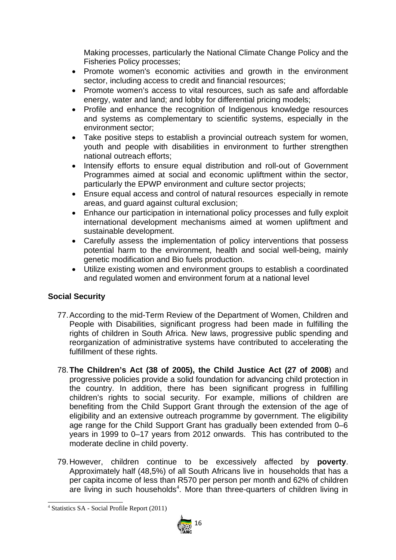Making processes, particularly the National Climate Change Policy and the Fisheries Policy processes;

- Promote women's economic activities and growth in the environment sector, including access to credit and financial resources;
- Promote women's access to vital resources, such as safe and affordable energy, water and land; and lobby for differential pricing models;
- Profile and enhance the recognition of Indigenous knowledge resources and systems as complementary to scientific systems, especially in the environment sector;
- Take positive steps to establish a provincial outreach system for women, youth and people with disabilities in environment to further strengthen national outreach efforts;
- Intensify efforts to ensure equal distribution and roll-out of Government Programmes aimed at social and economic upliftment within the sector, particularly the EPWP environment and culture sector projects;
- Ensure equal access and control of natural resources especially in remote areas, and guard against cultural exclusion;
- Enhance our participation in international policy processes and fully exploit international development mechanisms aimed at women upliftment and sustainable development.
- Carefully assess the implementation of policy interventions that possess potential harm to the environment, health and social well-being, mainly genetic modification and Bio fuels production.
- Utilize existing women and environment groups to establish a coordinated and regulated women and environment forum at a national level

#### **Social Security**

- 77.According to the mid-Term Review of the Department of Women, Children and People with Disabilities, significant progress had been made in fulfilling the rights of children in South Africa. New laws, progressive public spending and reorganization of administrative systems have contributed to accelerating the fulfillment of these rights.
- 78.**The Children's Act (38 of 2005), the Child Justice Act (27 of 2008**) and progressive policies provide a solid foundation for advancing child protection in the country. In addition, there has been significant progress in fulfilling children's rights to social security. For example, millions of children are benefiting from the Child Support Grant through the extension of the age of eligibility and an extensive outreach programme by government. The eligibility age range for the Child Support Grant has gradually been extended from 0–6 years in 1999 to 0–17 years from 2012 onwards. This has contributed to the moderate decline in child poverty.
- 79.However, children continue to be excessively affected by **poverty**. Approximately half (48,5%) of all South Africans live in households that has a per capita income of less than R570 per person per month and 62% of children are living in such households<sup>4</sup>. More than three-quarters of children living in

<sup>4</sup> Statistics SA - Social Profile Report (2011)

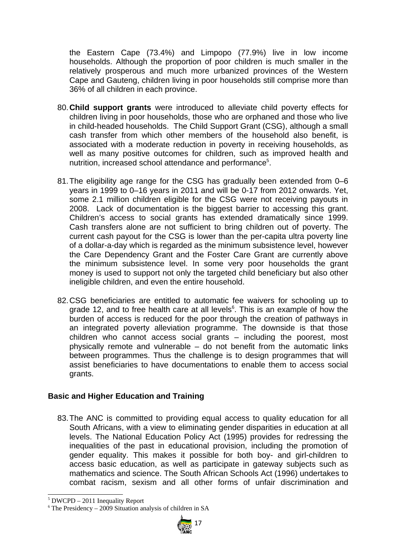the Eastern Cape (73.4%) and Limpopo (77.9%) live in low income households. Although the proportion of poor children is much smaller in the relatively prosperous and much more urbanized provinces of the Western Cape and Gauteng, children living in poor households still comprise more than 36% of all children in each province.

- 80.**Child support grants** were introduced to alleviate child poverty effects for children living in poor households, those who are orphaned and those who live in child-headed households. The Child Support Grant (CSG), although a small cash transfer from which other members of the household also benefit, is associated with a moderate reduction in poverty in receiving households, as well as many positive outcomes for children, such as improved health and nutrition, increased school attendance and performance<sup>5</sup>.
- 81.The eligibility age range for the CSG has gradually been extended from 0–6 years in 1999 to 0–16 years in 2011 and will be 0-17 from 2012 onwards. Yet, some 2.1 million children eligible for the CSG were not receiving payouts in 2008. Lack of documentation is the biggest barrier to accessing this grant. Children's access to social grants has extended dramatically since 1999. Cash transfers alone are not sufficient to bring children out of poverty. The current cash payout for the CSG is lower than the per-capita ultra poverty line of a dollar-a-day which is regarded as the minimum subsistence level, however the Care Dependency Grant and the Foster Care Grant are currently above the minimum subsistence level. In some very poor households the grant money is used to support not only the targeted child beneficiary but also other ineligible children, and even the entire household.
- 82.CSG beneficiaries are entitled to automatic fee waivers for schooling up to grade 12, and to free health care at all levels $6$ . This is an example of how the burden of access is reduced for the poor through the creation of pathways in an integrated poverty alleviation programme. The downside is that those children who cannot access social grants – including the poorest, most physically remote and vulnerable  $-$  do not benefit from the automatic links between programmes. Thus the challenge is to design programmes that will assist beneficiaries to have documentations to enable them to access social grants.

#### **Basic and Higher Education and Training**

83. The ANC is committed to providing equal access to quality education for all South Africans, with a view to eliminating gender disparities in education at all levels. The National Education Policy Act (1995) provides for redressing the inequalities of the past in educational provision, including the promotion of gender equality. This makes it possible for both boy- and girl-children to access basic education, as well as participate in gateway subjects such as mathematics and science. The South African Schools Act (1996) undertakes to combat racism, sexism and all other forms of unfair discrimination and

 $6$  The Presidency – 2009 Situation analysis of children in SA



<sup>5</sup> DWCPD – 2011 Inequality Report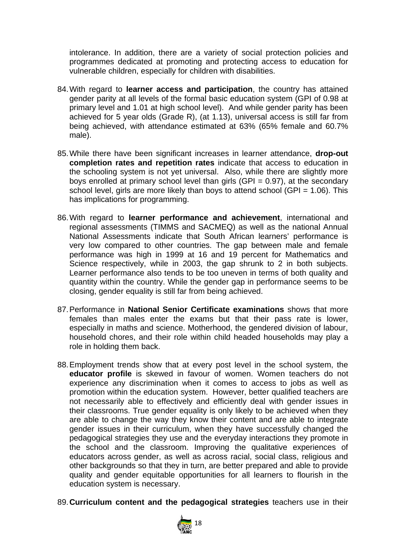intolerance. In addition, there are a variety of social protection policies and programmes dedicated at promoting and protecting access to education for vulnerable children, especially for children with disabilities.

- 84.With regard to **learner access and participation**, the country has attained gender parity at all levels of the formal basic education system (GPI of 0.98 at primary level and 1.01 at high school level). And while gender parity has been achieved for 5 year olds (Grade R), (at 1.13), universal access is still far from being achieved, with attendance estimated at 63% (65% female and 60.7% male).
- 85.While there have been significant increases in learner attendance, **drop-out completion rates and repetition rates** indicate that access to education in the schooling system is not yet universal. Also, while there are slightly more boys enrolled at primary school level than girls (GPI =  $0.97$ ), at the secondary school level, girls are more likely than boys to attend school (GPI =  $1.06$ ). This has implications for programming.
- 86.With regard to **learner performance and achievement**, international and regional assessments (TIMMS and SACMEQ) as well as the national Annual National Assessments indicate that South African learners' performance is very low compared to other countries. The gap between male and female performance was high in 1999 at 16 and 19 percent for Mathematics and Science respectively, while in 2003, the gap shrunk to 2 in both subjects. Learner performance also tends to be too uneven in terms of both quality and quantity within the country. While the gender gap in performance seems to be closing, gender equality is still far from being achieved.
- 87.Performance in **National Senior Certificate examinations** shows that more females than males enter the exams but that their pass rate is lower, especially in maths and science. Motherhood, the gendered division of labour, household chores, and their role within child headed households may play a role in holding them back.
- 88.Employment trends show that at every post level in the school system, the **educator profile** is skewed in favour of women. Women teachers do not experience any discrimination when it comes to access to jobs as well as promotion within the education system. However, better qualified teachers are not necessarily able to effectively and efficiently deal with gender issues in their classrooms. True gender equality is only likely to be achieved when they are able to change the way they know their content and are able to integrate gender issues in their curriculum, when they have successfully changed the pedagogical strategies they use and the everyday interactions they promote in the school and the classroom. Improving the qualitative experiences of educators across gender, as well as across racial, social class, religious and other backgrounds so that they in turn, are better prepared and able to provide quality and gender equitable opportunities for all learners to flourish in the education system is necessary.
- 89.**Curriculum content and the pedagogical strategies** teachers use in their

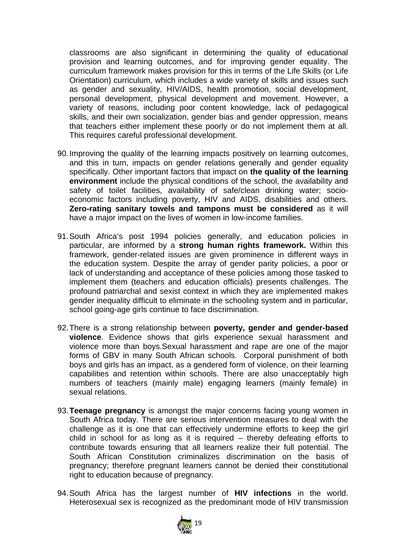classrooms are also significant in determining the quality of educational provision and learning outcomes, and for improving gender equality. The curriculum framework makes provision for this in terms of the Life Skills (or Life Orientation) curriculum, which includes a wide variety of skills and issues such as gender and sexuality, HIV/AIDS, health promotion, social development, personal development, physical development and movement. However, a variety of reasons, including poor content knowledge, lack of pedagogical skills, and their own socialization, gender bias and gender oppression, means that teachers either implement these poorly or do not implement them at all. This requires careful professional development.

- 90.Improving the quality of the learning impacts positively on learning outcomes, and this in turn, impacts on gender relations generally and gender equality specifically. Other important factors that impact on **the quality of the learning environment** include the physical conditions of the school, the availability and safety of toilet facilities, availability of safe/clean drinking water; socioeconomic factors including poverty, HIV and AIDS, disabilities and others. **Zero-rating sanitary towels and tampons must be considered** as it will have a major impact on the lives of women in low-income families.
- 91.South Africa's post 1994 policies generally, and education policies in particular, are informed by a **strong human rights framework.** Within this framework, gender-related issues are given prominence in different ways in the education system. Despite the array of gender parity policies, a poor or lack of understanding and acceptance of these policies among those tasked to implement them (teachers and education officials) presents challenges. The profound patriarchal and sexist context in which they are implemented makes gender inequality difficult to eliminate in the schooling system and in particular, school going-age girls continue to face discrimination.
- 92.There is a strong relationship between **poverty, gender and gender-based violence**. Evidence shows that girls experience sexual harassment and violence more than boys.Sexual harassment and rape are one of the major forms of GBV in many South African schools. Corporal punishment of both boys and girls has an impact, as a gendered form of violence, on their learning capabilities and retention within schools. There are also unacceptably high numbers of teachers (mainly male) engaging learners (mainly female) in sexual relations.
- 93.**Teenage pregnancy** is amongst the major concerns facing young women in South Africa today. There are serious intervention measures to deal with the challenge as it is one that can effectively undermine efforts to keep the girl child in school for as long as it is required – thereby defeating efforts to contribute towards ensuring that all learners realize their full potential. The South African Constitution criminalizes discrimination on the basis of pregnancy; therefore pregnant learners cannot be denied their constitutional right to education because of pregnancy.
- 94.South Africa has the largest number of **HIV infections** in the world. Heterosexual sex is recognized as the predominant mode of HIV transmission

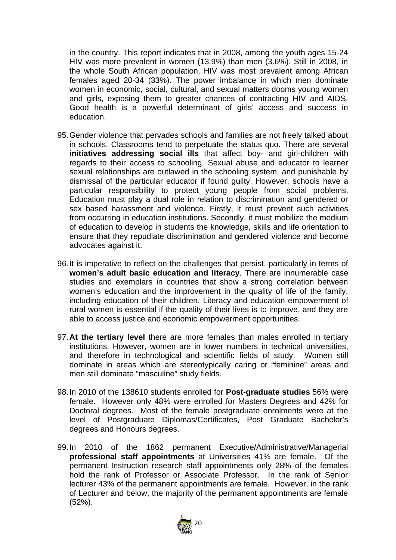in the country. This report indicates that in 2008, among the youth ages 15-24 HIV was more prevalent in women (13.9%) than men (3.6%). Still in 2008, in the whole South African population, HIV was most prevalent among African females aged 20-34 (33%). The power imbalance in which men dominate women in economic, social, cultural, and sexual matters dooms young women and girls, exposing them to greater chances of contracting HIV and AIDS. Good health is a powerful determinant of girls' access and success in education.

- 95.Gender violence that pervades schools and families are not freely talked about in schools. Classrooms tend to perpetuate the status quo. There are several **initiatives addressing social ills** that affect boy- and girl-children with regards to their access to schooling. Sexual abuse and educator to learner sexual relationships are outlawed in the schooling system, and punishable by dismissal of the particular educator if found guilty. However, schools have a particular responsibility to protect young people from social problems. Education must play a dual role in relation to discrimination and gendered or sex based harassment and violence. Firstly, it must prevent such activities from occurring in education institutions. Secondly, it must mobilize the medium of education to develop in students the knowledge, skills and life orientation to ensure that they repudiate discrimination and gendered violence and become advocates against it.
- 96.It is imperative to reflect on the challenges that persist, particularly in terms of **women's adult basic education and literacy**. There are innumerable case studies and exemplars in countries that show a strong correlation between women's education and the improvement in the quality of life of the family, including education of their children. Literacy and education empowerment of rural women is essential if the quality of their lives is to improve, and they are able to access justice and economic empowerment opportunities.
- 97.**At the tertiary level** there are more females than males enrolled in tertiary institutions. However, women are in lower numbers in technical universities, and therefore in technological and scientific fields of study. Women still dominate in areas which are stereotypically caring or "feminine" areas and men still dominate "masculine" study fields.
- 98.In 2010 of the 138610 students enrolled for **Post-graduate studies** 56% were female. However only 48% were enrolled for Masters Degrees and 42% for Doctoral degrees. Most of the female postgraduate enrolments were at the level of Postgraduate Diplomas/Certificates, Post Graduate Bachelor's degrees and Honours degrees.
- 99.In 2010 of the 1862 permanent Executive/Administrative/Managerial **professional staff appointments** at Universities 41% are female. Of the permanent Instruction research staff appointments only 28% of the females hold the rank of Professor or Associate Professor. In the rank of Senior lecturer 43% of the permanent appointments are female. However, in the rank of Lecturer and below, the majority of the permanent appointments are female (52%).

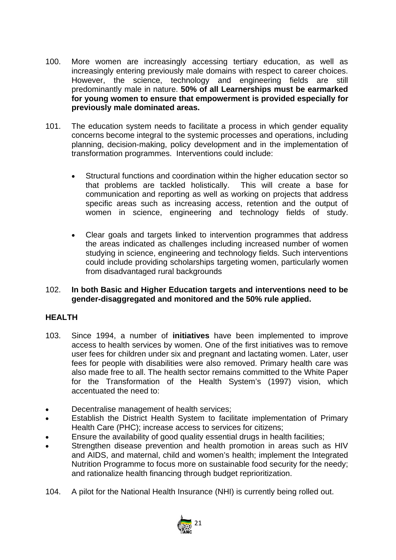- 100. More women are increasingly accessing tertiary education, as well as increasingly entering previously male domains with respect to career choices. However, the science, technology and engineering fields are still predominantly male in nature. **50% of all Learnerships must be earmarked for young women to ensure that empowerment is provided especially for previously male dominated areas.**
- 101. The education system needs to facilitate a process in which gender equality concerns become integral to the systemic processes and operations, including planning, decision-making, policy development and in the implementation of transformation programmes. Interventions could include:
	- Structural functions and coordination within the higher education sector so that problems are tackled holistically. This will create a base for communication and reporting as well as working on projects that address specific areas such as increasing access, retention and the output of women in science, engineering and technology fields of study.
	- Clear goals and targets linked to intervention programmes that address the areas indicated as challenges including increased number of women studying in science, engineering and technology fields. Such interventions could include providing scholarships targeting women, particularly women from disadvantaged rural backgrounds

#### 102. **In both Basic and Higher Education targets and interventions need to be gender-disaggregated and monitored and the 50% rule applied.**

#### **HEALTH**

- 103. Since 1994, a number of **initiatives** have been implemented to improve access to health services by women. One of the first initiatives was to remove user fees for children under six and pregnant and lactating women. Later, user fees for people with disabilities were also removed. Primary health care was also made free to all. The health sector remains committed to the White Paper for the Transformation of the Health System's (1997) vision, which accentuated the need to:
- Decentralise management of health services;
- Establish the District Health System to facilitate implementation of Primary Health Care (PHC); increase access to services for citizens;
- Ensure the availability of good quality essential drugs in health facilities;
- Strengthen disease prevention and health promotion in areas such as HIV and AIDS, and maternal, child and women's health; implement the Integrated Nutrition Programme to focus more on sustainable food security for the needy; and rationalize health financing through budget reprioritization.
- 104. A pilot for the National Health Insurance (NHI) is currently being rolled out.

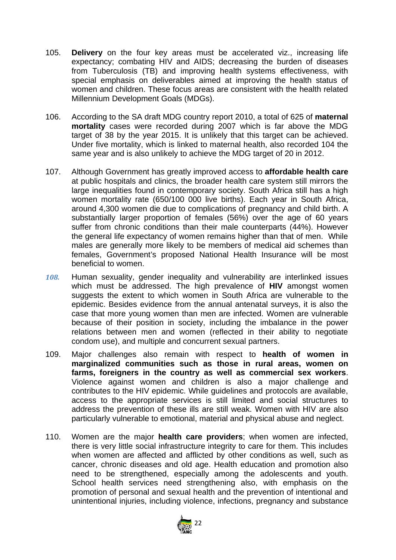- 105. **Delivery** on the four key areas must be accelerated viz., increasing life expectancy; combating HIV and AIDS; decreasing the burden of diseases from Tuberculosis (TB) and improving health systems effectiveness, with special emphasis on deliverables aimed at improving the health status of women and children. These focus areas are consistent with the health related Millennium Development Goals (MDGs).
- 106. According to the SA draft MDG country report 2010, a total of 625 of **maternal mortality** cases were recorded during 2007 which is far above the MDG target of 38 by the year 2015. It is unlikely that this target can be achieved. Under five mortality, which is linked to maternal health, also recorded 104 the same year and is also unlikely to achieve the MDG target of 20 in 2012.
- 107. Although Government has greatly improved access to **affordable health care** at public hospitals and clinics, the broader health care system still mirrors the large inequalities found in contemporary society. South Africa still has a high women mortality rate (650/100 000 live births). Each year in South Africa, around 4,300 women die due to complications of pregnancy and child birth. A substantially larger proportion of females (56%) over the age of 60 years suffer from chronic conditions than their male counterparts (44%). However the general life expectancy of women remains higher than that of men. While males are generally more likely to be members of medical aid schemes than females, Government's proposed National Health Insurance will be most beneficial to women.
- *108.* Human sexuality, gender inequality and vulnerability are interlinked issues which must be addressed. The high prevalence of **HIV** amongst women suggests the extent to which women in South Africa are vulnerable to the epidemic. Besides evidence from the annual antenatal surveys, it is also the case that more young women than men are infected. Women are vulnerable because of their position in society, including the imbalance in the power relations between men and women (reflected in their ability to negotiate condom use), and multiple and concurrent sexual partners.
- 109. Major challenges also remain with respect to **health of women in marginalized communities such as those in rural areas, women on farms, foreigners in the country as well as commercial sex workers**. Violence against women and children is also a major challenge and contributes to the HIV epidemic. While guidelines and protocols are available, access to the appropriate services is still limited and social structures to address the prevention of these ills are still weak. Women with HIV are also particularly vulnerable to emotional, material and physical abuse and neglect.
- 110. Women are the major **health care providers**; when women are infected, there is very little social infrastructure integrity to care for them. This includes when women are affected and afflicted by other conditions as well, such as cancer, chronic diseases and old age. Health education and promotion also need to be strengthened, especially among the adolescents and youth. School health services need strengthening also, with emphasis on the promotion of personal and sexual health and the prevention of intentional and unintentional injuries, including violence, infections, pregnancy and substance

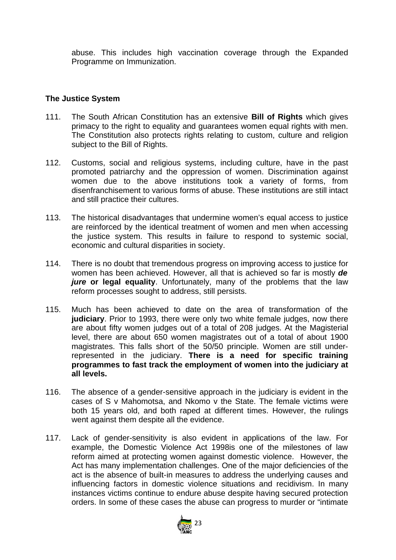abuse. This includes high vaccination coverage through the Expanded Programme on Immunization.

#### **The Justice System**

- 111. The South African Constitution has an extensive **Bill of Rights** which gives primacy to the right to equality and guarantees women equal rights with men. The Constitution also protects rights relating to custom, culture and religion subject to the Bill of Rights.
- 112. Customs, social and religious systems, including culture, have in the past promoted patriarchy and the oppression of women. Discrimination against women due to the above institutions took a variety of forms, from disenfranchisement to various forms of abuse. These institutions are still intact and still practice their cultures.
- 113. The historical disadvantages that undermine women's equal access to justice are reinforced by the identical treatment of women and men when accessing the justice system. This results in failure to respond to systemic social, economic and cultural disparities in society.
- 114. There is no doubt that tremendous progress on improving access to justice for women has been achieved. However, all that is achieved so far is mostly *de jure* **or legal equality**. Unfortunately, many of the problems that the law reform processes sought to address, still persists.
- 115. Much has been achieved to date on the area of transformation of the **judiciary**. Prior to 1993, there were only two white female judges, now there are about fifty women judges out of a total of 208 judges. At the Magisterial level, there are about 650 women magistrates out of a total of about 1900 magistrates. This falls short of the 50/50 principle. Women are still underrepresented in the judiciary. **There is a need for specific training programmes to fast track the employment of women into the judiciary at all levels.**
- 116. The absence of a gender-sensitive approach in the judiciary is evident in the cases of S v Mahomotsa, and Nkomo v the State. The female victims were both 15 years old, and both raped at different times. However, the rulings went against them despite all the evidence.
- 117. Lack of gender-sensitivity is also evident in applications of the law. For example, the Domestic Violence Act 1998is one of the milestones of law reform aimed at protecting women against domestic violence. However, the Act has many implementation challenges. One of the major deficiencies of the act is the absence of built-in measures to address the underlying causes and influencing factors in domestic violence situations and recidivism. In many instances victims continue to endure abuse despite having secured protection orders. In some of these cases the abuse can progress to murder or "intimate

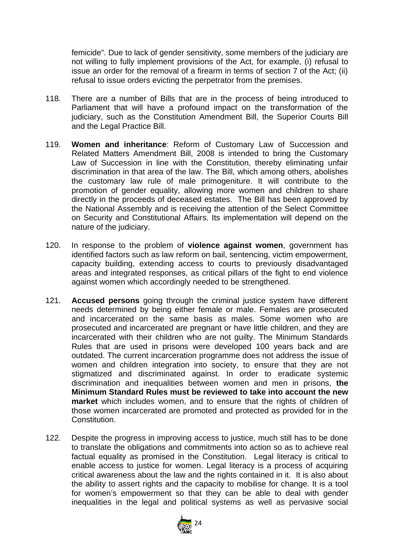femicide". Due to lack of gender sensitivity, some members of the judiciary are not willing to fully implement provisions of the Act, for example, (i) refusal to issue an order for the removal of a firearm in terms of section 7 of the Act; (ii) refusal to issue orders evicting the perpetrator from the premises.

- 118. There are a number of Bills that are in the process of being introduced to Parliament that will have a profound impact on the transformation of the judiciary, such as the Constitution Amendment Bill, the Superior Courts Bill and the Legal Practice Bill.
- 119. **Women and inheritance**: Reform of Customary Law of Succession and Related Matters Amendment Bill, 2008 is intended to bring the Customary Law of Succession in line with the Constitution, thereby eliminating unfair discrimination in that area of the law. The Bill, which among others, abolishes the customary law rule of male primogeniture. It will contribute to the promotion of gender equality, allowing more women and children to share directly in the proceeds of deceased estates. The Bill has been approved by the National Assembly and is receiving the attention of the Select Committee on Security and Constitutional Affairs. Its implementation will depend on the nature of the judiciary.
- 120. In response to the problem of **violence against women**, government has identified factors such as law reform on bail, sentencing, victim empowerment, capacity building, extending access to courts to previously disadvantaged areas and integrated responses, as critical pillars of the fight to end violence against women which accordingly needed to be strengthened.
- 121. **Accused persons** going through the criminal justice system have different needs determined by being either female or male. Females are prosecuted and incarcerated on the same basis as males. Some women who are prosecuted and incarcerated are pregnant or have little children, and they are incarcerated with their children who are not guilty. The Minimum Standards Rules that are used in prisons were developed 100 years back and are outdated. The current incarceration programme does not address the issue of women and children integration into society, to ensure that they are not stigmatized and discriminated against. In order to eradicate systemic discrimination and inequalities between women and men in prisons, **the Minimum Standard Rules must be reviewed to take into account the new market** which includes women, and to ensure that the rights of children of those women incarcerated are promoted and protected as provided for in the Constitution.
- 122. Despite the progress in improving access to justice, much still has to be done to translate the obligations and commitments into action so as to achieve real factual equality as promised in the Constitution. Legal literacy is critical to enable access to justice for women. Legal literacy is a process of acquiring critical awareness about the law and the rights contained in it. It is also about the ability to assert rights and the capacity to mobilise for change. It is a tool for women's empowerment so that they can be able to deal with gender inequalities in the legal and political systems as well as pervasive social

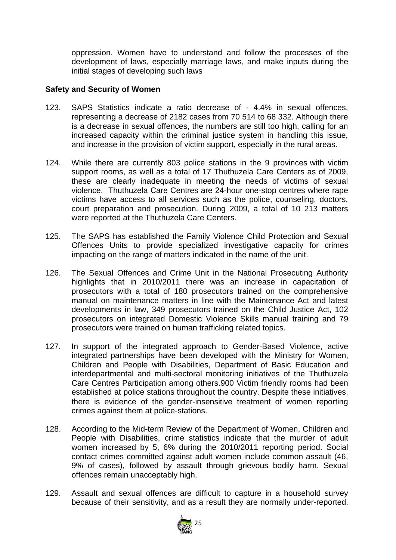oppression. Women have to understand and follow the processes of the development of laws, especially marriage laws, and make inputs during the initial stages of developing such laws

#### **Safety and Security of Women**

- 123. SAPS Statistics indicate a ratio decrease of 4.4% in sexual offences, representing a decrease of 2182 cases from 70 514 to 68 332. Although there is a decrease in sexual offences, the numbers are still too high, calling for an increased capacity within the criminal justice system in handling this issue, and increase in the provision of victim support, especially in the rural areas.
- 124. While there are currently 803 police stations in the 9 provinces with victim support rooms, as well as a total of 17 Thuthuzela Care Centers as of 2009, these are clearly inadequate in meeting the needs of victims of sexual violence. Thuthuzela Care Centres are 24-hour one-stop centres where rape victims have access to all services such as the police, counseling, doctors, court preparation and prosecution. During 2009, a total of 10 213 matters were reported at the Thuthuzela Care Centers.
- 125. The SAPS has established the Family Violence Child Protection and Sexual Offences Units to provide specialized investigative capacity for crimes impacting on the range of matters indicated in the name of the unit.
- 126. The Sexual Offences and Crime Unit in the National Prosecuting Authority highlights that in 2010/2011 there was an increase in capacitation of prosecutors with a total of 180 prosecutors trained on the comprehensive manual on maintenance matters in line with the Maintenance Act and latest developments in law, 349 prosecutors trained on the Child Justice Act, 102 prosecutors on integrated Domestic Violence Skills manual training and 79 prosecutors were trained on human trafficking related topics.
- 127. In support of the integrated approach to Gender-Based Violence, active integrated partnerships have been developed with the Ministry for Women, Children and People with Disabilities, Department of Basic Education and interdepartmental and multi-sectoral monitoring initiatives of the Thuthuzela Care Centres Participation among others.900 Victim friendly rooms had been established at police stations throughout the country. Despite these initiatives, there is evidence of the gender-insensitive treatment of women reporting crimes against them at police-stations.
- 128. According to the Mid-term Review of the Department of Women, Children and People with Disabilities, crime statistics indicate that the murder of adult women increased by 5, 6% during the 2010/2011 reporting period. Social contact crimes committed against adult women include common assault (46, 9% of cases), followed by assault through grievous bodily harm. Sexual offences remain unacceptably high.
- 129. Assault and sexual offences are difficult to capture in a household survey because of their sensitivity, and as a result they are normally under-reported.

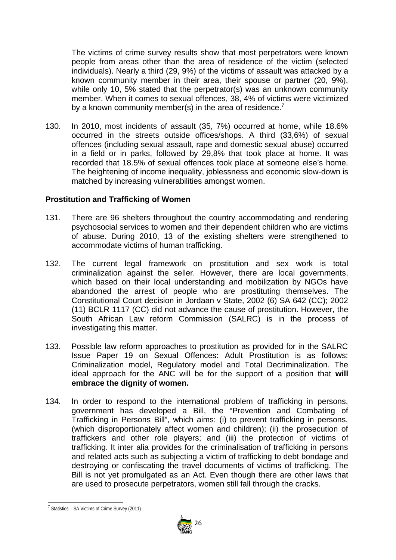The victims of crime survey results show that most perpetrators were known people from areas other than the area of residence of the victim (selected individuals). Nearly a third (29, 9%) of the victims of assault was attacked by a known community member in their area, their spouse or partner (20, 9%), while only 10, 5% stated that the perpetrator(s) was an unknown community member. When it comes to sexual offences, 38, 4% of victims were victimized by a known community member(s) in the area of residence.<sup>7</sup>

130. In 2010, most incidents of assault (35, 7%) occurred at home, while 18.6% occurred in the streets outside offices/shops. A third (33,6%) of sexual offences (including sexual assault, rape and domestic sexual abuse) occurred in a field or in parks, followed by 29,8% that took place at home. It was recorded that 18.5% of sexual offences took place at someone else's home. The heightening of income inequality, joblessness and economic slow-down is matched by increasing vulnerabilities amongst women.

#### **Prostitution and Trafficking of Women**

- 131. There are 96 shelters throughout the country accommodating and rendering psychosocial services to women and their dependent children who are victims of abuse. During 2010, 13 of the existing shelters were strengthened to accommodate victims of human trafficking.
- 132. The current legal framework on prostitution and sex work is total criminalization against the seller. However, there are local governments, which based on their local understanding and mobilization by NGOs have abandoned the arrest of people who are prostituting themselves. The Constitutional Court decision in Jordaan v State, 2002 (6) SA 642 (CC); 2002 (11) BCLR 1117 (CC) did not advance the cause of prostitution. However, the South African Law reform Commission (SALRC) is in the process of investigating this matter.
- 133. Possible law reform approaches to prostitution as provided for in the SALRC Issue Paper 19 on Sexual Offences: Adult Prostitution is as follows: Criminalization model, Regulatory model and Total Decriminalization. The ideal approach for the ANC will be for the support of a position that **will embrace the dignity of women.**
- 134. In order to respond to the international problem of trafficking in persons, government has developed a Bill, the "Prevention and Combating of Trafficking in Persons Bill", which aims: (i) to prevent trafficking in persons, (which disproportionately affect women and children); (ii) the prosecution of traffickers and other role players; and (iii) the protection of victims of trafficking. It inter alia provides for the criminalisation of trafficking in persons and related acts such as subjecting a victim of trafficking to debt bondage and destroying or confiscating the travel documents of victims of trafficking. The Bill is not yet promulgated as an Act. Even though there are other laws that are used to prosecute perpetrators, women still fall through the cracks.



 $7$  Statistics – SA Victims of Crime Survey (2011)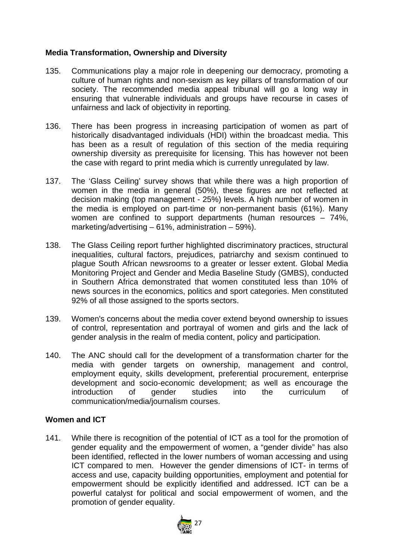#### **Media Transformation, Ownership and Diversity**

- 135. Communications play a major role in deepening our democracy, promoting a culture of human rights and non-sexism as key pillars of transformation of our society. The recommended media appeal tribunal will go a long way in ensuring that vulnerable individuals and groups have recourse in cases of unfairness and lack of objectivity in reporting.
- 136. There has been progress in increasing participation of women as part of historically disadvantaged individuals (HDI) within the broadcast media. This has been as a result of regulation of this section of the media requiring ownership diversity as prerequisite for licensing. This has however not been the case with regard to print media which is currently unregulated by law.
- 137. The 'Glass Ceiling' survey shows that while there was a high proportion of women in the media in general (50%), these figures are not reflected at decision making (top management - 25%) levels. A high number of women in the media is employed on part-time or non-permanent basis (61%). Many women are confined to support departments (human resources – 74%, marketing/advertising – 61%, administration – 59%).
- 138. The Glass Ceiling report further highlighted discriminatory practices, structural inequalities, cultural factors, prejudices, patriarchy and sexism continued to plague South African newsrooms to a greater or lesser extent. Global Media Monitoring Project and Gender and Media Baseline Study (GMBS), conducted in Southern Africa demonstrated that women constituted less than 10% of news sources in the economics, politics and sport categories. Men constituted 92% of all those assigned to the sports sectors.
- 139. Women's concerns about the media cover extend beyond ownership to issues of control, representation and portrayal of women and girls and the lack of gender analysis in the realm of media content, policy and participation.
- 140. The ANC should call for the development of a transformation charter for the media with gender targets on ownership, management and control, employment equity, skills development, preferential procurement, enterprise development and socio-economic development; as well as encourage the introduction of gender studies into the curriculum of communication/media/journalism courses.

#### **Women and ICT**

141. While there is recognition of the potential of ICT as a tool for the promotion of gender equality and the empowerment of women, a "gender divide" has also been identified, reflected in the lower numbers of woman accessing and using ICT compared to men. However the gender dimensions of ICT- in terms of access and use, capacity building opportunities, employment and potential for empowerment should be explicitly identified and addressed. ICT can be a powerful catalyst for political and social empowerment of women, and the promotion of gender equality.

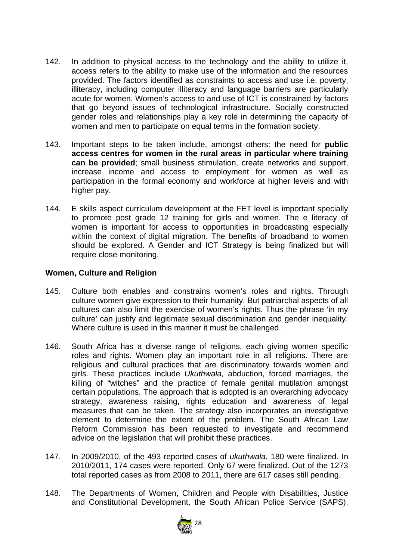- 142. In addition to physical access to the technology and the ability to utilize it, access refers to the ability to make use of the information and the resources provided. The factors identified as constraints to access and use i.e. poverty, illiteracy, including computer illiteracy and language barriers are particularly acute for women. Women's access to and use of ICT is constrained by factors that go beyond issues of technological infrastructure. Socially constructed gender roles and relationships play a key role in determining the capacity of women and men to participate on equal terms in the formation society.
- 143. Important steps to be taken include, amongst others: the need for **public access centres for women in the rural areas in particular where training can be provided**; small business stimulation, create networks and support, increase income and access to employment for women as well as participation in the formal economy and workforce at higher levels and with higher pay.
- 144. E skills aspect curriculum development at the FET level is important specially to promote post grade 12 training for girls and women. The e literacy of women is important for access to opportunities in broadcasting especially within the context of digital migration. The benefits of broadband to women should be explored. A Gender and ICT Strategy is being finalized but will require close monitoring.

#### **Women, Culture and Religion**

- 145. Culture both enables and constrains women's roles and rights. Through culture women give expression to their humanity. But patriarchal aspects of all cultures can also limit the exercise of women's rights. Thus the phrase 'in my culture' can justify and legitimate sexual discrimination and gender inequality. Where culture is used in this manner it must be challenged.
- 146. South Africa has a diverse range of religions, each giving women specific roles and rights. Women play an important role in all religions. There are religious and cultural practices that are discriminatory towards women and girls. These practices include *Ukuthwala,* abduction, forced marriages, the killing of "witches" and the practice of female genital mutilation amongst certain populations. The approach that is adopted is an overarching advocacy strategy, awareness raising, rights education and awareness of legal measures that can be taken. The strategy also incorporates an investigative element to determine the extent of the problem. The South African Law Reform Commission has been requested to investigate and recommend advice on the legislation that will prohibit these practices.
- 147. In 2009/2010, of the 493 reported cases of *ukuthwala*, 180 were finalized. In 2010/2011, 174 cases were reported. Only 67 were finalized. Out of the 1273 total reported cases as from 2008 to 2011, there are 617 cases still pending.
- 148. The Departments of Women, Children and People with Disabilities, Justice and Constitutional Development, the South African Police Service (SAPS),

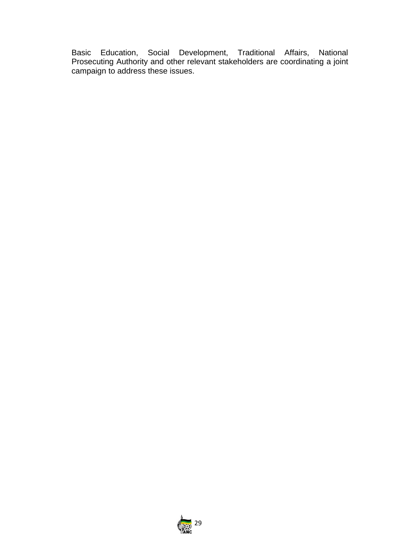Basic Education, Social Development, Traditional Affairs, National Prosecuting Authority and other relevant stakeholders are coordinating a joint campaign to address these issues.

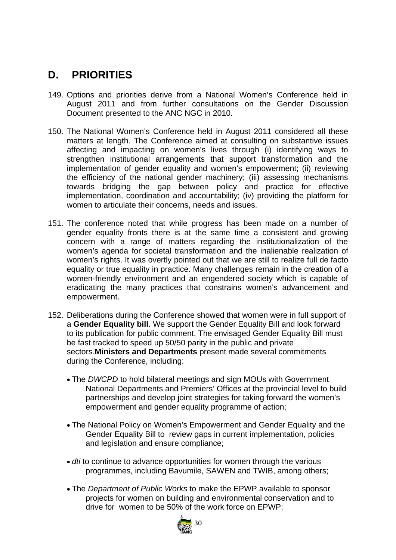## **D. PRIORITIES**

- 149. Options and priorities derive from a National Women's Conference held in August 2011 and from further consultations on the Gender Discussion Document presented to the ANC NGC in 2010.
- 150. The National Women's Conference held in August 2011 considered all these matters at length. The Conference aimed at consulting on substantive issues affecting and impacting on women's lives through (i) identifying ways to strengthen institutional arrangements that support transformation and the implementation of gender equality and women's empowerment; (ii) reviewing the efficiency of the national gender machinery; (iii) assessing mechanisms towards bridging the gap between policy and practice for effective implementation, coordination and accountability; (iv) providing the platform for women to articulate their concerns, needs and issues.
- 151. The conference noted that while progress has been made on a number of gender equality fronts there is at the same time a consistent and growing concern with a range of matters regarding the institutionalization of the women's agenda for societal transformation and the inalienable realization of women's rights. It was overtly pointed out that we are still to realize full de facto equality or true equality in practice. Many challenges remain in the creation of a women-friendly environment and an engendered society which is capable of eradicating the many practices that constrains women's advancement and empowerment.
- 152. Deliberations during the Conference showed that women were in full support of a **Gender Equality bill**. We support the Gender Equality Bill and look forward to its publication for public comment. The envisaged Gender Equality Bill must be fast tracked to speed up 50/50 parity in the public and private sectors.**Ministers and Departments** present made several commitments during the Conference, including:
	- The *DWCPD* to hold bilateral meetings and sign MOUs with Government National Departments and Premiers' Offices at the provincial level to build partnerships and develop joint strategies for taking forward the women's empowerment and gender equality programme of action;
	- The National Policy on Women's Empowerment and Gender Equality and the Gender Equality Bill to review gaps in current implementation, policies and legislation and ensure compliance;
	- *dti* to continue to advance opportunities for women through the various programmes, including Bavumile, SAWEN and TWIB, among others;
	- The *Department of Public Works* to make the EPWP available to sponsor projects for women on building and environmental conservation and to drive for women to be 50% of the work force on EPWP;

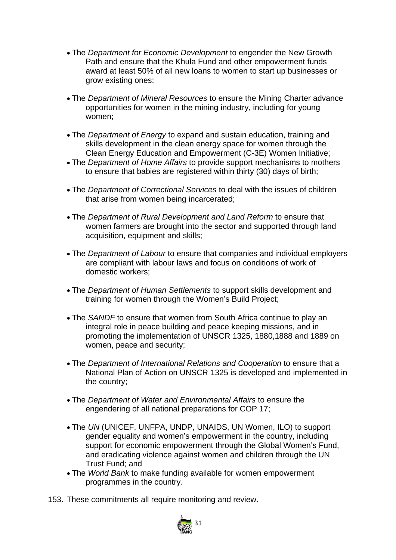- The *Department for Economic Development* to engender the New Growth Path and ensure that the Khula Fund and other empowerment funds award at least 50% of all new loans to women to start up businesses or grow existing ones;
- The *Department of Mineral Resources* to ensure the Mining Charter advance opportunities for women in the mining industry, including for young women;
- The *Department of Energy* to expand and sustain education, training and skills development in the clean energy space for women through the Clean Energy Education and Empowerment (C-3E) Women Initiative;
- The *Department of Home Affairs* to provide support mechanisms to mothers to ensure that babies are registered within thirty (30) days of birth;
- The *Department of Correctional Services* to deal with the issues of children that arise from women being incarcerated;
- The *Department of Rural Development and Land Reform* to ensure that women farmers are brought into the sector and supported through land acquisition, equipment and skills;
- The *Department of Labour* to ensure that companies and individual employers are compliant with labour laws and focus on conditions of work of domestic workers;
- The *Department of Human Settlements* to support skills development and training for women through the Women's Build Project;
- The *SANDF* to ensure that women from South Africa continue to play an integral role in peace building and peace keeping missions, and in promoting the implementation of UNSCR 1325, 1880,1888 and 1889 on women, peace and security;
- The *Department of International Relations and Cooperation* to ensure that a National Plan of Action on UNSCR 1325 is developed and implemented in the country;
- The *Department of Water and Environmental Affairs* to ensure the engendering of all national preparations for COP 17;
- The *UN* (UNICEF, UNFPA, UNDP, UNAIDS, UN Women, ILO) to support gender equality and women's empowerment in the country, including support for economic empowerment through the Global Women's Fund, and eradicating violence against women and children through the UN Trust Fund; and
- The *World Bank* to make funding available for women empowerment programmes in the country.
- 153. These commitments all require monitoring and review.

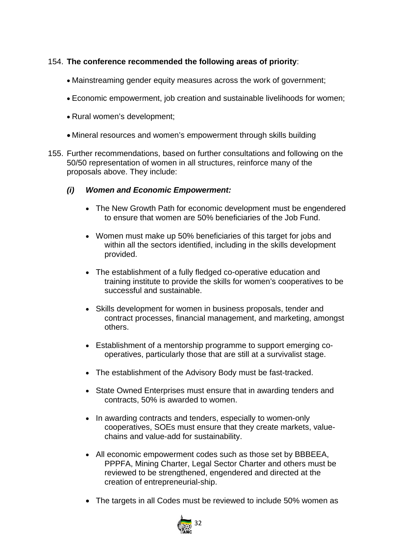#### 154. **The conference recommended the following areas of priority**:

- Mainstreaming gender equity measures across the work of government;
- Economic empowerment, job creation and sustainable livelihoods for women;
- Rural women's development;
- Mineral resources and women's empowerment through skills building
- 155. Further recommendations, based on further consultations and following on the 50/50 representation of women in all structures, reinforce many of the proposals above. They include:

#### *(i) Women and Economic Empowerment:*

- The New Growth Path for economic development must be engendered to ensure that women are 50% beneficiaries of the Job Fund.
- Women must make up 50% beneficiaries of this target for jobs and within all the sectors identified, including in the skills development provided.
- The establishment of a fully fledged co-operative education and training institute to provide the skills for women's cooperatives to be successful and sustainable.
- Skills development for women in business proposals, tender and contract processes, financial management, and marketing, amongst others.
- Establishment of a mentorship programme to support emerging cooperatives, particularly those that are still at a survivalist stage.
- The establishment of the Advisory Body must be fast-tracked.
- State Owned Enterprises must ensure that in awarding tenders and contracts, 50% is awarded to women.
- In awarding contracts and tenders, especially to women-only cooperatives, SOEs must ensure that they create markets, valuechains and value-add for sustainability.
- All economic empowerment codes such as those set by BBBEEA, PPPFA, Mining Charter, Legal Sector Charter and others must be reviewed to be strengthened, engendered and directed at the creation of entrepreneurial-ship.
- The targets in all Codes must be reviewed to include 50% women as